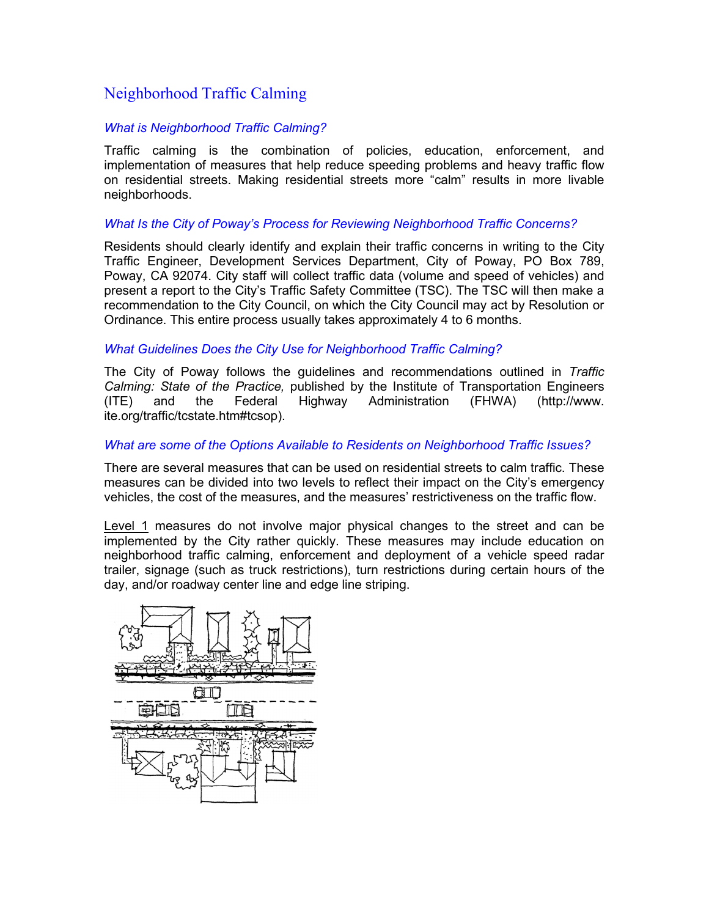# Neighborhood Traffic Calming

### *What is Neighborhood Traffic Calming?*

Traffic calming is the combination of policies, education, enforcement, and implementation of measures that help reduce speeding problems and heavy traffic flow on residential streets. Making residential streets more "calm" results in more livable neighborhoods.

#### *What Is the City of Poway's Process for Reviewing Neighborhood Traffic Concerns?*

Residents should clearly identify and explain their traffic concerns in writing to the City Traffic Engineer, Development Services Department, City of Poway, PO Box 789, Poway, CA 92074. City staff will collect traffic data (volume and speed of vehicles) and present a report to the City's Traffic Safety Committee (TSC). The TSC will then make a recommendation to the City Council, on which the City Council may act by Resolution or Ordinance. This entire process usually takes approximately 4 to 6 months.

#### *What Guidelines Does the City Use for Neighborhood Traffic Calming?*

The City of Poway follows the guidelines and recommendations outlined in *Traffic Calming: State of the Practice,* published by the Institute of Transportation Engineers<br>(ITE) and the Federal Highway Administration (FHWA) (http://www. (ITE) and the Federal Highway Administration (FHWA) [\(http://www.](http://www/) ite.org/traffic/tcstate.htm#tcsop).

#### *What are some of the Options Available to Residents on Neighborhood Traffic Issues?*

There are several measures that can be used on residential streets to calm traffic. These measures can be divided into two levels to reflect their impact on the City's emergency vehicles, the cost of the measures, and the measures' restrictiveness on the traffic flow.

Level 1 measures do not involve major physical changes to the street and can be implemented by the City rather quickly. These measures may include education on neighborhood traffic calming, enforcement and deployment of a vehicle speed radar trailer, signage (such as truck restrictions), turn restrictions during certain hours of the day, and/or roadway center line and edge line striping.

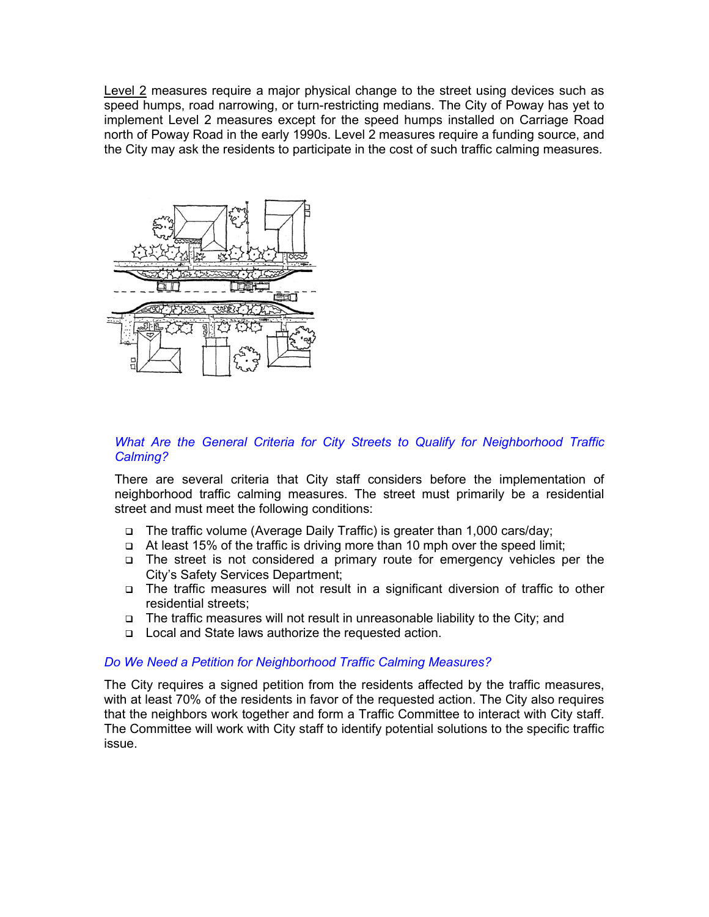Level 2 measures require a major physical change to the street using devices such as speed humps, road narrowing, or turn-restricting medians. The City of Poway has yet to implement Level 2 measures except for the speed humps installed on Carriage Road north of Poway Road in the early 1990s. Level 2 measures require a funding source, and the City may ask the residents to participate in the cost of such traffic calming measures.



## *What Are the General Criteria for City Streets to Qualify for Neighborhood Traffic Calming?*

There are several criteria that City staff considers before the implementation of neighborhood traffic calming measures. The street must primarily be a residential street and must meet the following conditions:

- The traffic volume (Average Daily Traffic) is greater than 1,000 cars/day;
- At least 15% of the traffic is driving more than 10 mph over the speed limit;
- The street is not considered a primary route for emergency vehicles per the City's Safety Services Department;
- The traffic measures will not result in a significant diversion of traffic to other residential streets;
- The traffic measures will not result in unreasonable liability to the City; and
- □ Local and State laws authorize the requested action.

## *Do We Need a Petition for Neighborhood Traffic Calming Measures?*

The City requires a signed petition from the residents affected by the traffic measures, with at least 70% of the residents in favor of the requested action. The City also requires that the neighbors work together and form a Traffic Committee to interact with City staff. The Committee will work with City staff to identify potential solutions to the specific traffic issue.